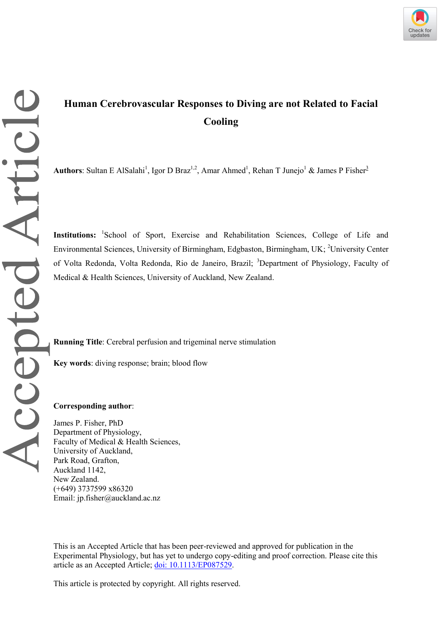# **Human Cerebrovascular Responses to Diving are not Related to Facial Cooling**

Authors: Sultan E AlSalahi<sup>1</sup>, Igor D Braz<sup>1,2</sup>, Amar Ahmed<sup>1</sup>, Rehan T Junejo<sup>1</sup> & James P Fisher<sup>3</sup>

**Institutions:** 1 School of Sport, Exercise and Rehabilitation Sciences, College of Life and Environmental Sciences, University of Birmingham, Edgbaston, Birmingham, UK; <sup>2</sup>University Center of Volta Redonda, Volta Redonda, Rio de Janeiro, Brazil; <sup>3</sup>Department of Physiology, Faculty of Medical & Health Sciences, University of Auckland, New Zealand.

**Running Title**: Cerebral perfusion and trigeminal nerve stimulation

**Key words**: diving response; brain; blood flow

## **Corresponding author**:

James P. Fisher, PhD Department of Physiology, Faculty of Medical & Health Sciences, University of Auckland, Park Road, Grafton, Auckland 1142, New Zealand. (+649) 3737599 x86320 Email: jp.fisher@auckland.ac.nz

This is an Accepted Article that has been peer-reviewed and approved for publication in the Experimental Physiology, but has yet to undergo copy-editing and proof correction. Please cite this article as an Accepted Article; [doi: 10.1113/EP087529.](https://doi.org/10.1113/EP087529)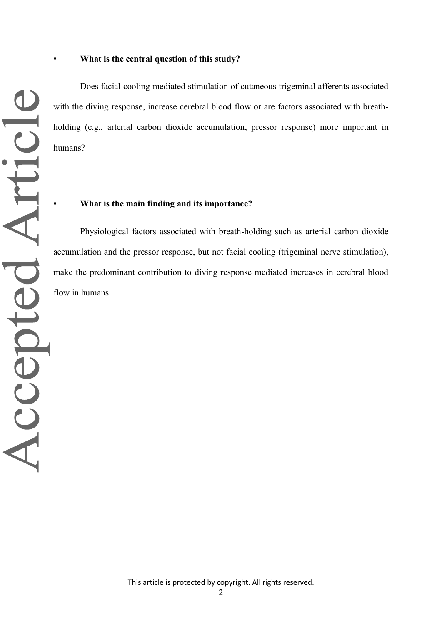Does facial cooling mediated stimulation of cutaneous trigeminal afferents associated with the diving response, increase cerebral blood flow or are factors associated with breathholding (e.g., arterial carbon dioxide accumulation, pressor response) more important in humans?

## **• What is the main finding and its importance?**

Accepted Article

Physiological factors associated with breath-holding such as arterial carbon dioxide accumulation and the pressor response, but not facial cooling (trigeminal nerve stimulation), make the predominant contribution to diving response mediated increases in cerebral blood flow in humans.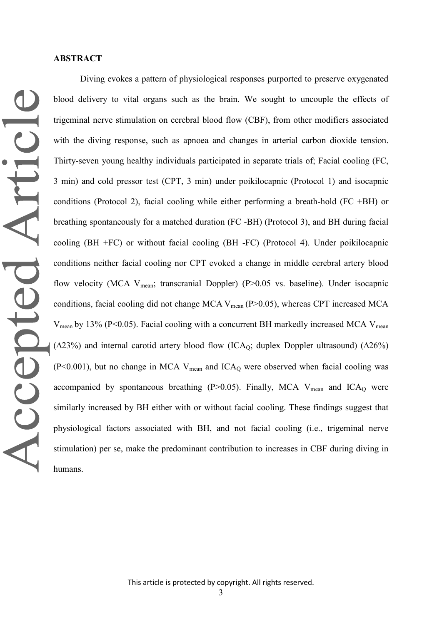## **ABSTRACT**

Diving evokes a pattern of physiological responses purported to preserve oxygenated blood delivery to vital organs such as the brain. We sought to uncouple the effects of trigeminal nerve stimulation on cerebral blood flow (CBF), from other modifiers associated with the diving response, such as apnoea and changes in arterial carbon dioxide tension. Thirty-seven young healthy individuals participated in separate trials of; Facial cooling (FC, 3 min) and cold pressor test (CPT, 3 min) under poikilocapnic (Protocol 1) and isocapnic conditions (Protocol 2), facial cooling while either performing a breath-hold (FC +BH) or breathing spontaneously for a matched duration (FC -BH) (Protocol 3), and BH during facial cooling (BH +FC) or without facial cooling (BH -FC) (Protocol 4). Under poikilocapnic conditions neither facial cooling nor CPT evoked a change in middle cerebral artery blood flow velocity (MCA  $V_{mean}$ ; transcranial Doppler) (P>0.05 vs. baseline). Under isocapnic conditions, facial cooling did not change MCA  $V_{mean}$  (P $> 0.05$ ), whereas CPT increased MCA  $V_{mean}$  by 13% (P<0.05). Facial cooling with a concurrent BH markedly increased MCA  $V_{mean}$ ( $\Delta$ 23%) and internal carotid artery blood flow (ICA<sub>O</sub>; duplex Doppler ultrasound) ( $\Delta$ 26%)  $(P<0.001)$ , but no change in MCA V<sub>mean</sub> and ICA<sub>O</sub> were observed when facial cooling was accompanied by spontaneous breathing (P $>0.05$ ). Finally, MCA V<sub>mean</sub> and ICA<sub>Q</sub> were similarly increased by BH either with or without facial cooling. These findings suggest that physiological factors associated with BH, and not facial cooling (i.e., trigeminal nerve stimulation) per se, make the predominant contribution to increases in CBF during diving in humans.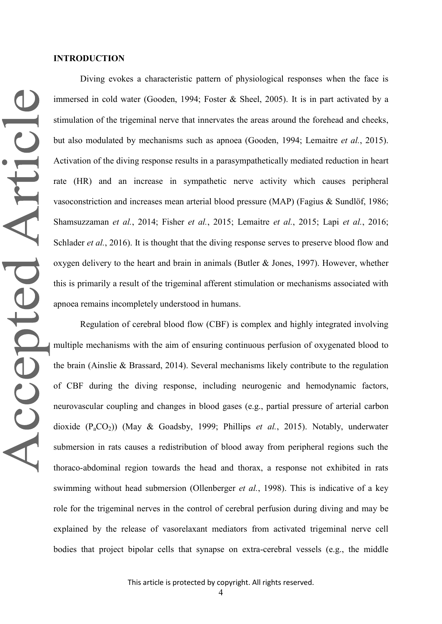#### **INTRODUCTION**

Diving evokes a characteristic pattern of physiological responses when the face is immersed in cold water (Gooden, 1994; Foster & Sheel, 2005). It is in part activated by a stimulation of the trigeminal nerve that innervates the areas around the forehead and cheeks, but also modulated by mechanisms such as apnoea (Gooden, 1994; Lemaitre *et al.*, 2015). Activation of the diving response results in a parasympathetically mediated reduction in heart rate (HR) and an increase in sympathetic nerve activity which causes peripheral vasoconstriction and increases mean arterial blood pressure (MAP) (Fagius & Sundlöf, 1986; Shamsuzzaman *et al.*, 2014; Fisher *et al.*, 2015; Lemaitre *et al.*, 2015; Lapi *et al.*, 2016; Schlader *et al.*, 2016). It is thought that the diving response serves to preserve blood flow and oxygen delivery to the heart and brain in animals (Butler & Jones, 1997). However, whether this is primarily a result of the trigeminal afferent stimulation or mechanisms associated with apnoea remains incompletely understood in humans.

Regulation of cerebral blood flow (CBF) is complex and highly integrated involving multiple mechanisms with the aim of ensuring continuous perfusion of oxygenated blood to the brain (Ainslie & Brassard, 2014). Several mechanisms likely contribute to the regulation of CBF during the diving response, including neurogenic and hemodynamic factors, neurovascular coupling and changes in blood gases (e.g., partial pressure of arterial carbon dioxide (PaCO2)) (May & Goadsby, 1999; Phillips *et al.*, 2015). Notably, underwater submersion in rats causes a redistribution of blood away from peripheral regions such the thoraco-abdominal region towards the head and thorax, a response not exhibited in rats swimming without head submersion (Ollenberger *et al.*, 1998). This is indicative of a key role for the trigeminal nerves in the control of cerebral perfusion during diving and may be explained by the release of vasorelaxant mediators from activated trigeminal nerve cell bodies that project bipolar cells that synapse on extra-cerebral vessels (e.g., the middle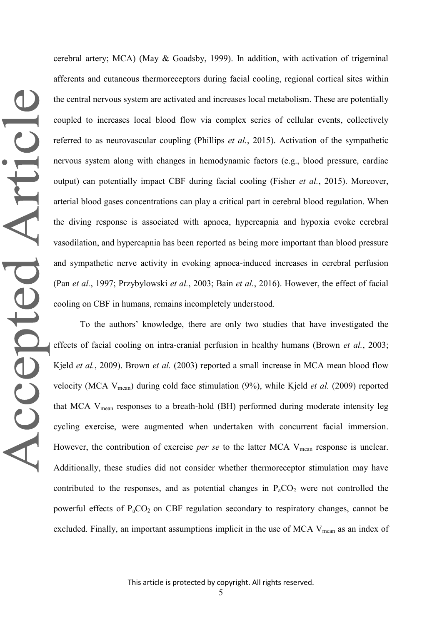cerebral artery; MCA) (May & Goadsby, 1999). In addition, with activation of trigeminal afferents and cutaneous thermoreceptors during facial cooling, regional cortical sites within the central nervous system are activated and increases local metabolism. These are potentially coupled to increases local blood flow via complex series of cellular events, collectively referred to as neurovascular coupling (Phillips *et al.*, 2015). Activation of the sympathetic nervous system along with changes in hemodynamic factors (e.g., blood pressure, cardiac output) can potentially impact CBF during facial cooling (Fisher *et al.*, 2015). Moreover, arterial blood gases concentrations can play a critical part in cerebral blood regulation. When the diving response is associated with apnoea, hypercapnia and hypoxia evoke cerebral vasodilation, and hypercapnia has been reported as being more important than blood pressure and sympathetic nerve activity in evoking apnoea-induced increases in cerebral perfusion (Pan *et al.*, 1997; Przybylowski *et al.*, 2003; Bain *et al.*, 2016). However, the effect of facial cooling on CBF in humans, remains incompletely understood.

To the authors' knowledge, there are only two studies that have investigated the effects of facial cooling on intra-cranial perfusion in healthy humans (Brown *et al.*, 2003; Kjeld *et al.*, 2009). Brown *et al.* (2003) reported a small increase in MCA mean blood flow velocity (MCA Vmean) during cold face stimulation (9%), while Kjeld *et al.* (2009) reported that MCA Vmean responses to a breath-hold (BH) performed during moderate intensity leg cycling exercise, were augmented when undertaken with concurrent facial immersion. However, the contribution of exercise *per se* to the latter MCA V<sub>mean</sub> response is unclear. Additionally, these studies did not consider whether thermoreceptor stimulation may have contributed to the responses, and as potential changes in  $P_aCO_2$  were not controlled the powerful effects of  $P_aCO_2$  on CBF regulation secondary to respiratory changes, cannot be excluded. Finally, an important assumptions implicit in the use of MCA  $V_{mean}$  as an index of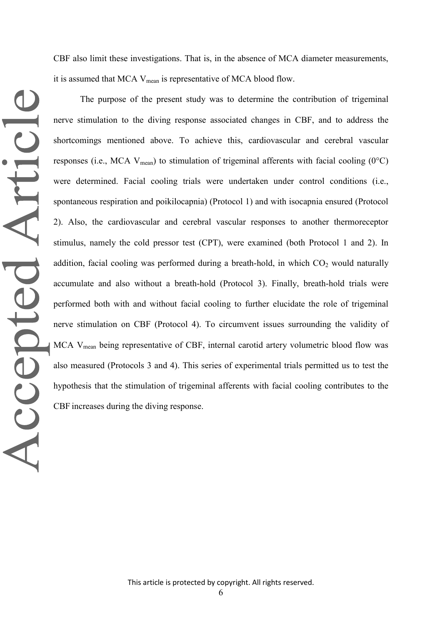CBF also limit these investigations. That is, in the absence of MCA diameter measurements, it is assumed that MCA  $V_{mean}$  is representative of MCA blood flow.

The purpose of the present study was to determine the contribution of trigeminal nerve stimulation to the diving response associated changes in CBF, and to address the shortcomings mentioned above. To achieve this, cardiovascular and cerebral vascular responses (i.e., MCA  $V_{mean}$ ) to stimulation of trigeminal afferents with facial cooling (0°C) were determined. Facial cooling trials were undertaken under control conditions (i.e., spontaneous respiration and poikilocapnia) (Protocol 1) and with isocapnia ensured (Protocol 2). Also, the cardiovascular and cerebral vascular responses to another thermoreceptor stimulus, namely the cold pressor test (CPT), were examined (both Protocol 1 and 2). In addition, facial cooling was performed during a breath-hold, in which  $CO<sub>2</sub>$  would naturally accumulate and also without a breath-hold (Protocol 3). Finally, breath-hold trials were performed both with and without facial cooling to further elucidate the role of trigeminal nerve stimulation on CBF (Protocol 4). To circumvent issues surrounding the validity of MCA V<sub>mean</sub> being representative of CBF, internal carotid artery volumetric blood flow was also measured (Protocols 3 and 4). This series of experimental trials permitted us to test the hypothesis that the stimulation of trigeminal afferents with facial cooling contributes to the CBF increases during the diving response.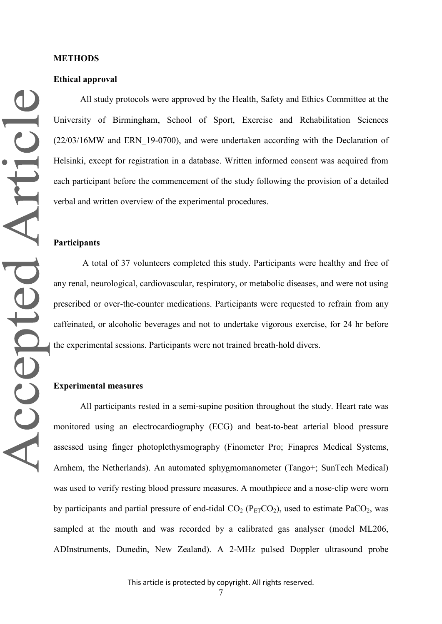### **Ethical approval**

All study protocols were approved by the Health, Safety and Ethics Committee at the University of Birmingham, School of Sport, Exercise and Rehabilitation Sciences (22/03/16MW and ERN\_19-0700), and were undertaken according with the Declaration of Helsinki, except for registration in a database. Written informed consent was acquired from each participant before the commencement of the study following the provision of a detailed verbal and written overview of the experimental procedures.

### **Participants**

A total of 37 volunteers completed this study. Participants were healthy and free of any renal, neurological, cardiovascular, respiratory, or metabolic diseases, and were not using prescribed or over-the-counter medications. Participants were requested to refrain from any caffeinated, or alcoholic beverages and not to undertake vigorous exercise, for 24 hr before the experimental sessions. Participants were not trained breath-hold divers.

# **Experimental measures**

All participants rested in a semi-supine position throughout the study. Heart rate was monitored using an electrocardiography (ECG) and beat-to-beat arterial blood pressure assessed using finger photoplethysmography (Finometer Pro; Finapres Medical Systems, Arnhem, the Netherlands). An automated sphygmomanometer (Tango+; SunTech Medical) was used to verify resting blood pressure measures. A mouthpiece and a nose-clip were worn by participants and partial pressure of end-tidal  $CO<sub>2</sub> (P<sub>ET</sub>CO<sub>2</sub>)$ , used to estimate PaCO<sub>2</sub>, was sampled at the mouth and was recorded by a calibrated gas analyser (model ML206, ADInstruments, Dunedin, New Zealand). A 2-MHz pulsed Doppler ultrasound probe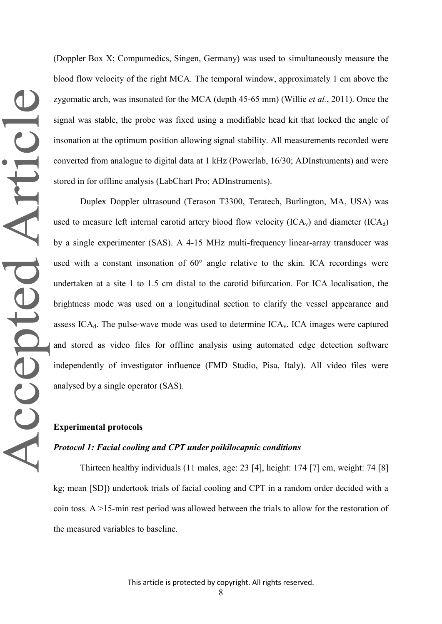(Doppler Box X; Compumedics, Singen, Germany) was used to simultaneously measure the blood flow velocity of the right MCA. The temporal window, approximately 1 cm above the zygomatic arch, was insonated for the MCA (depth 45-65 mm) (Willie *et al.*, 2011). Once the signal was stable, the probe was fixed using a modifiable head kit that locked the angle of insonation at the optimum position allowing signal stability. All measurements recorded were converted from analogue to digital data at 1 kHz (Powerlab, 16/30; ADInstruments) and were stored in for offline analysis (LabChart Pro; ADInstruments).

Duplex Doppler ultrasound (Terason T3300, Teratech, Burlington, MA, USA) was used to measure left internal carotid artery blood flow velocity  $(ICA<sub>v</sub>)$  and diameter  $(ICA<sub>d</sub>)$ by a single experimenter (SAS). A 4-15 MHz multi-frequency linear-array transducer was used with a constant insonation of 60° angle relative to the skin. ICA recordings were undertaken at a site 1 to 1.5 cm distal to the carotid bifurcation. For ICA localisation, the brightness mode was used on a longitudinal section to clarify the vessel appearance and assess  $ICA_d$ . The pulse-wave mode was used to determine  $ICA_v$ . ICA images were captured and stored as video files for offline analysis using automated edge detection software independently of investigator influence (FMD Studio, Pisa, Italy). All video files were analysed by a single operator (SAS).

# **Experimental protocols**

## *Protocol 1: Facial cooling and CPT under poikilocapnic conditions*

Thirteen healthy individuals (11 males, age: 23 [4], height: 174 [7] cm, weight: 74 [8] kg; mean [SD]) undertook trials of facial cooling and CPT in a random order decided with a coin toss. A >15-min rest period was allowed between the trials to allow for the restoration of the measured variables to baseline.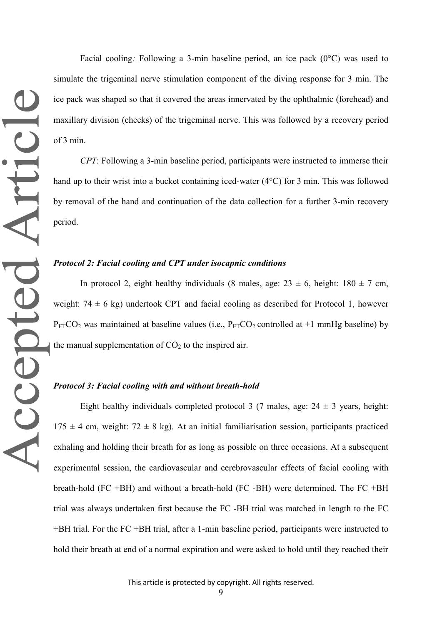Facial cooling*:* Following a 3-min baseline period, an ice pack (0°C) was used to simulate the trigeminal nerve stimulation component of the diving response for 3 min. The ice pack was shaped so that it covered the areas innervated by the ophthalmic (forehead) and maxillary division (cheeks) of the trigeminal nerve. This was followed by a recovery period of 3 min.

*CPT*: Following a 3-min baseline period, participants were instructed to immerse their hand up to their wrist into a bucket containing iced-water (4°C) for 3 min. This was followed by removal of the hand and continuation of the data collection for a further 3-min recovery period.

# *Protocol 2: Facial cooling and CPT under isocapnic conditions*

In protocol 2, eight healthy individuals (8 males, age:  $23 \pm 6$ , height:  $180 \pm 7$  cm, weight:  $74 \pm 6$  kg) undertook CPT and facial cooling as described for Protocol 1, however  $P_{ET}CO_2$  was maintained at baseline values (i.e.,  $P_{ET}CO_2$  controlled at +1 mmHg baseline) by the manual supplementation of  $CO<sub>2</sub>$  to the inspired air.

# *Protocol 3: Facial cooling with and without breath-hold*

Eight healthy individuals completed protocol 3 (7 males, age:  $24 \pm 3$  years, height:  $175 \pm 4$  cm, weight:  $72 \pm 8$  kg). At an initial familiarisation session, participants practiced exhaling and holding their breath for as long as possible on three occasions. At a subsequent experimental session, the cardiovascular and cerebrovascular effects of facial cooling with breath-hold (FC +BH) and without a breath-hold (FC -BH) were determined. The FC +BH trial was always undertaken first because the FC -BH trial was matched in length to the FC +BH trial. For the FC +BH trial, after a 1-min baseline period, participants were instructed to hold their breath at end of a normal expiration and were asked to hold until they reached their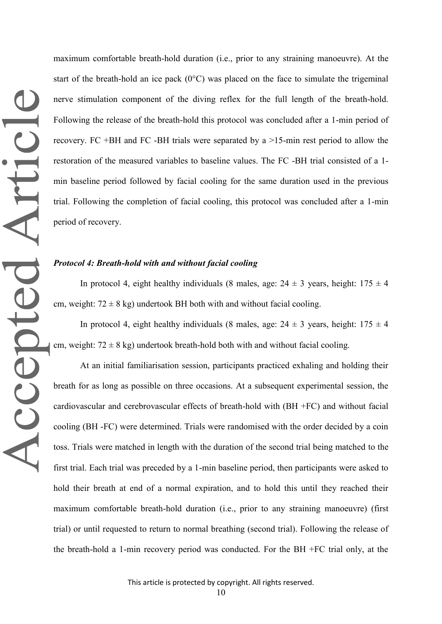maximum comfortable breath-hold duration (i.e., prior to any straining manoeuvre). At the start of the breath-hold an ice pack (0°C) was placed on the face to simulate the trigeminal nerve stimulation component of the diving reflex for the full length of the breath-hold. Following the release of the breath-hold this protocol was concluded after a 1-min period of recovery. FC +BH and FC -BH trials were separated by a >15-min rest period to allow the restoration of the measured variables to baseline values. The FC -BH trial consisted of a 1 min baseline period followed by facial cooling for the same duration used in the previous trial. Following the completion of facial cooling, this protocol was concluded after a 1-min period of recovery.

# *Protocol 4: Breath-hold with and without facial cooling*

In protocol 4, eight healthy individuals (8 males, age:  $24 \pm 3$  years, height:  $175 \pm 4$ cm, weight:  $72 \pm 8$  kg) undertook BH both with and without facial cooling.

In protocol 4, eight healthy individuals (8 males, age:  $24 \pm 3$  years, height:  $175 \pm 4$ cm, weight:  $72 \pm 8$  kg) undertook breath-hold both with and without facial cooling.

At an initial familiarisation session, participants practiced exhaling and holding their breath for as long as possible on three occasions. At a subsequent experimental session, the cardiovascular and cerebrovascular effects of breath-hold with (BH +FC) and without facial cooling (BH -FC) were determined. Trials were randomised with the order decided by a coin toss. Trials were matched in length with the duration of the second trial being matched to the first trial. Each trial was preceded by a 1-min baseline period, then participants were asked to hold their breath at end of a normal expiration, and to hold this until they reached their maximum comfortable breath-hold duration (i.e., prior to any straining manoeuvre) (first trial) or until requested to return to normal breathing (second trial). Following the release of the breath-hold a 1-min recovery period was conducted. For the BH +FC trial only, at the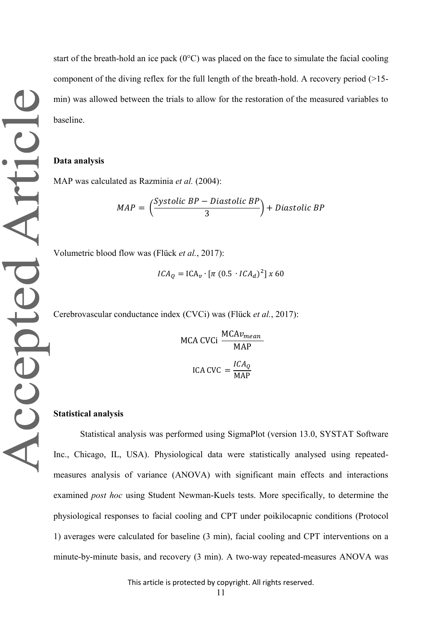start of the breath-hold an ice pack  $(0^{\circ}C)$  was placed on the face to simulate the facial cooling component of the diving reflex for the full length of the breath-hold. A recovery period  $(>15$ min) was allowed between the trials to allow for the restoration of the measured variables to baseline.

#### **Data analysis**

MAP was calculated as Razminia *et al.* (2004):

$$
MAP = \left(\frac{Systolic BP - Diastolic BP}{3}\right) + Diastolic BP
$$

Volumetric blood flow was (Flück *et al.*, 2017):

$$
ICA_Q = ICA_v \cdot [\pi (0.5 \cdot ICA_d)^2] \times 60
$$

Cerebrovascular conductance index (CVCi) was (Flück *et al.*, 2017):

MCA CVCi 
$$
\frac{MCAv_{mean}}{MAP}
$$
  
ICA CVC = 
$$
\frac{ICA_Q}{MAP}
$$

#### **Statistical analysis**

Statistical analysis was performed using SigmaPlot (version 13.0, SYSTAT Software Inc., Chicago, IL, USA). Physiological data were statistically analysed using repeatedmeasures analysis of variance (ANOVA) with significant main effects and interactions examined *post hoc* using Student Newman-Kuels tests. More specifically, to determine the physiological responses to facial cooling and CPT under poikilocapnic conditions (Protocol 1) averages were calculated for baseline (3 min), facial cooling and CPT interventions on a minute-by-minute basis, and recovery (3 min). A two-way repeated-measures ANOVA was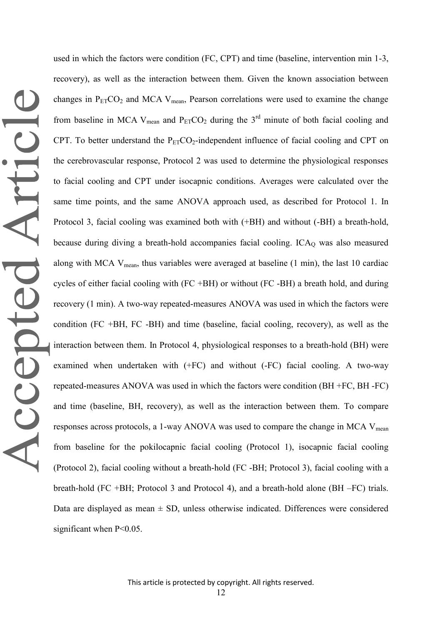used in which the factors were condition (FC, CPT) and time (baseline, intervention min 1-3, recovery), as well as the interaction between them. Given the known association between changes in  $P_{ET}CO_2$  and MCA V<sub>mean</sub>, Pearson correlations were used to examine the change from baseline in MCA V<sub>mean</sub> and  $P_{ET}CO_2$  during the 3<sup>rd</sup> minute of both facial cooling and CPT. To better understand the  $P_{ET}CO_2$ -independent influence of facial cooling and CPT on the cerebrovascular response, Protocol 2 was used to determine the physiological responses to facial cooling and CPT under isocapnic conditions. Averages were calculated over the same time points, and the same ANOVA approach used, as described for Protocol 1. In Protocol 3, facial cooling was examined both with (+BH) and without (-BH) a breath-hold, because during diving a breath-hold accompanies facial cooling.  $ICA<sub>O</sub>$  was also measured along with MCA  $V_{mean}$ , thus variables were averaged at baseline (1 min), the last 10 cardiac cycles of either facial cooling with (FC +BH) or without (FC -BH) a breath hold, and during recovery (1 min). A two-way repeated-measures ANOVA was used in which the factors were condition (FC +BH, FC -BH) and time (baseline, facial cooling, recovery), as well as the interaction between them. In Protocol 4, physiological responses to a breath-hold (BH) were examined when undertaken with (+FC) and without (-FC) facial cooling. A two-way repeated-measures ANOVA was used in which the factors were condition (BH +FC, BH -FC) and time (baseline, BH, recovery), as well as the interaction between them. To compare responses across protocols, a 1-way ANOVA was used to compare the change in MCA V<sub>mean</sub> from baseline for the pokilocapnic facial cooling (Protocol 1), isocapnic facial cooling (Protocol 2), facial cooling without a breath-hold (FC -BH; Protocol 3), facial cooling with a breath-hold (FC +BH; Protocol 3 and Protocol 4), and a breath-hold alone (BH –FC) trials. Data are displayed as mean  $\pm$  SD, unless otherwise indicated. Differences were considered significant when  $P<0.05$ .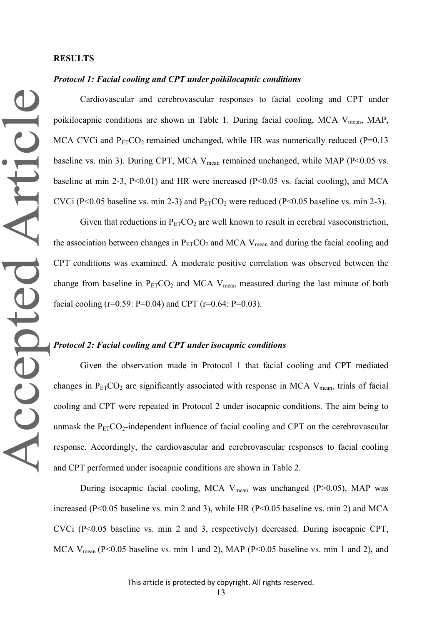# *Protocol 1: Facial cooling and CPT under poikilocapnic conditions*

Cardiovascular and cerebrovascular responses to facial cooling and CPT under poikilocapnic conditions are shown in Table 1. During facial cooling, MCA  $V_{mean}$ , MAP, MCA CVCi and  $P_{ET}CO_2$  remained unchanged, while HR was numerically reduced (P=0.13 baseline vs. min 3). During CPT, MCA  $V_{mean}$  remained unchanged, while MAP (P<0.05 vs. baseline at min 2-3,  $P<0.01$ ) and HR were increased ( $P<0.05$  vs. facial cooling), and MCA CVCi (P<0.05 baseline vs. min 2-3) and  $P_{ET}CO_2$  were reduced (P<0.05 baseline vs. min 2-3).

Given that reductions in  $P_{ET}CO_2$  are well known to result in cerebral vasoconstriction, the association between changes in  $P_{ET}CO_2$  and MCA  $V_{mean}$  and during the facial cooling and CPT conditions was examined. A moderate positive correlation was observed between the change from baseline in  $P_{ET}CO_2$  and MCA  $V_{mean}$  measured during the last minute of both facial cooling ( $r=0.59$ : P=0.04) and CPT ( $r=0.64$ : P=0.03).

# *Protocol 2: Facial cooling and CPT under isocapnic conditions*

Given the observation made in Protocol 1 that facial cooling and CPT mediated changes in  $P_{ET}CO_2$  are significantly associated with response in MCA V<sub>mean</sub>, trials of facial cooling and CPT were repeated in Protocol 2 under isocapnic conditions. The aim being to unmask the  $P_{ET}CO_2$ -independent influence of facial cooling and CPT on the cerebrovascular response. Accordingly, the cardiovascular and cerebrovascular responses to facial cooling and CPT performed under isocapnic conditions are shown in Table 2.

During isocapnic facial cooling, MCA  $V_{mean}$  was unchanged (P $>0.05$ ), MAP was increased (P<0.05 baseline vs. min 2 and 3), while HR (P<0.05 baseline vs. min 2) and MCA CVCi (P<0.05 baseline vs. min 2 and 3, respectively) decreased. During isocapnic CPT, MCA V<sub>mean</sub> (P<0.05 baseline vs. min 1 and 2), MAP (P<0.05 baseline vs. min 1 and 2), and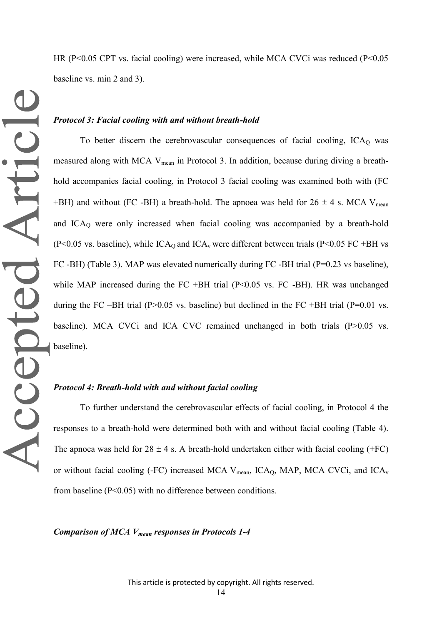HR (P<0.05 CPT vs. facial cooling) were increased, while MCA CVCi was reduced (P<0.05 baseline vs. min 2 and 3).

### *Protocol 3: Facial cooling with and without breath-hold*

To better discern the cerebrovascular consequences of facial cooling,  $ICA<sub>O</sub>$  was measured along with MCA V<sub>mean</sub> in Protocol 3. In addition, because during diving a breathhold accompanies facial cooling, in Protocol 3 facial cooling was examined both with (FC +BH) and without (FC -BH) a breath-hold. The apnoea was held for  $26 \pm 4$  s. MCA V<sub>mean</sub> and  $ICA<sub>0</sub>$  were only increased when facial cooling was accompanied by a breath-hold (P<0.05 vs. baseline), while  $\text{ICA}_0$  and  $\text{ICA}_v$  were different between trials (P<0.05 FC +BH vs FC -BH) (Table 3). MAP was elevated numerically during FC -BH trial (P=0.23 vs baseline), while MAP increased during the FC +BH trial (P<0.05 vs. FC -BH). HR was unchanged during the FC –BH trial (P $>0.05$  vs. baseline) but declined in the FC +BH trial (P=0.01 vs. baseline). MCA CVCi and ICA CVC remained unchanged in both trials (P>0.05 vs. baseline).

### *Protocol 4: Breath-hold with and without facial cooling*

To further understand the cerebrovascular effects of facial cooling, in Protocol 4 the responses to a breath-hold were determined both with and without facial cooling (Table 4). The apnoea was held for  $28 \pm 4$  s. A breath-hold undertaken either with facial cooling (+FC) or without facial cooling (-FC) increased MCA  $V_{mean}$ , ICA<sub>Q</sub>, MAP, MCA CVCi, and ICA<sub>v</sub> from baseline (P<0.05) with no difference between conditions.

*Comparison of MCA Vmean responses in Protocols 1-4*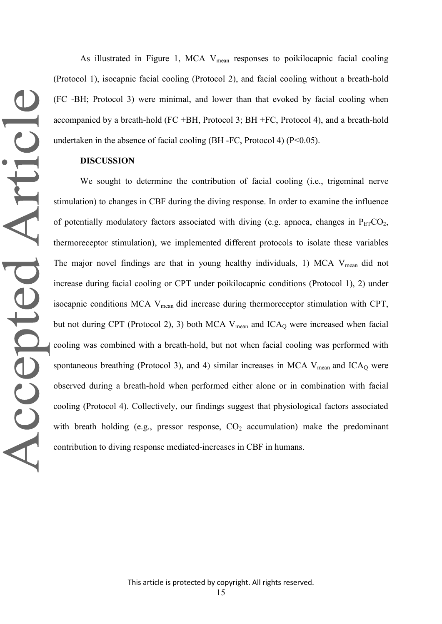As illustrated in Figure 1, MCA  $V_{mean}$  responses to poikilocapnic facial cooling (Protocol 1), isocapnic facial cooling (Protocol 2), and facial cooling without a breath-hold (FC -BH; Protocol 3) were minimal, and lower than that evoked by facial cooling when accompanied by a breath-hold (FC +BH, Protocol 3; BH +FC, Protocol 4), and a breath-hold undertaken in the absence of facial cooling (BH -FC, Protocol 4) ( $P<0.05$ ).

# **DISCUSSION**

We sought to determine the contribution of facial cooling (i.e., trigeminal nerve stimulation) to changes in CBF during the diving response. In order to examine the influence of potentially modulatory factors associated with diving (e.g. apnoea, changes in  $P_{ET}CO_2$ , thermoreceptor stimulation), we implemented different protocols to isolate these variables The major novel findings are that in young healthy individuals, 1) MCA V<sub>mean</sub> did not increase during facial cooling or CPT under poikilocapnic conditions (Protocol 1), 2) under isocapnic conditions MCA V<sub>mean</sub> did increase during thermoreceptor stimulation with CPT, but not during CPT (Protocol 2), 3) both MCA  $V_{mean}$  and ICA<sub>Q</sub> were increased when facial cooling was combined with a breath-hold, but not when facial cooling was performed with spontaneous breathing (Protocol 3), and 4) similar increases in MCA  $V_{mean}$  and ICA<sub>Q</sub> were observed during a breath-hold when performed either alone or in combination with facial cooling (Protocol 4). Collectively, our findings suggest that physiological factors associated with breath holding (e.g., pressor response,  $CO<sub>2</sub>$  accumulation) make the predominant contribution to diving response mediated-increases in CBF in humans.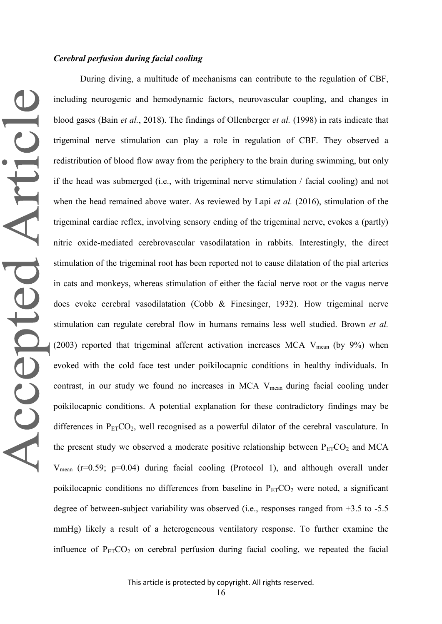# *Cerebral perfusion during facial cooling*

During diving, a multitude of mechanisms can contribute to the regulation of CBF, Accepted Article including neurogenic and hemodynamic factors, neurovascular coupling, and changes in blood gases (Bain *et al.*, 2018). The findings of Ollenberger *et al.* (1998) in rats indicate that trigeminal nerve stimulation can play a role in regulation of CBF. They observed a redistribution of blood flow away from the periphery to the brain during swimming, but only if the head was submerged (i.e., with trigeminal nerve stimulation / facial cooling) and not when the head remained above water. As reviewed by Lapi *et al.* (2016), stimulation of the trigeminal cardiac reflex, involving sensory ending of the trigeminal nerve, evokes a (partly) nitric oxide-mediated cerebrovascular vasodilatation in rabbits. Interestingly, the direct stimulation of the trigeminal root has been reported not to cause dilatation of the pial arteries in cats and monkeys, whereas stimulation of either the facial nerve root or the vagus nerve does evoke cerebral vasodilatation (Cobb & Finesinger, 1932). How trigeminal nerve stimulation can regulate cerebral flow in humans remains less well studied. Brown *et al.* (2003) reported that trigeminal afferent activation increases MCA  $V_{mean}$  (by 9%) when evoked with the cold face test under poikilocapnic conditions in healthy individuals. In contrast, in our study we found no increases in MCA V<sub>mean</sub> during facial cooling under poikilocapnic conditions. A potential explanation for these contradictory findings may be differences in  $P_{ET}CO_2$ , well recognised as a powerful dilator of the cerebral vasculature. In the present study we observed a moderate positive relationship between  $P_{ET}CO_2$  and MCA  $V_{\text{mean}}$  (r=0.59; p=0.04) during facial cooling (Protocol 1), and although overall under poikilocapnic conditions no differences from baseline in  $P_{ET}CO_2$  were noted, a significant degree of between-subject variability was observed (i.e., responses ranged from +3.5 to -5.5

influence of  $P_{ET}CO_2$  on cerebral perfusion during facial cooling, we repeated the facial

mmHg) likely a result of a heterogeneous ventilatory response. To further examine the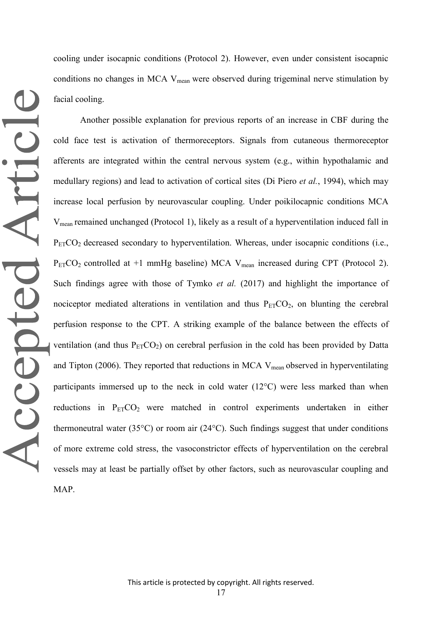cooling under isocapnic conditions (Protocol 2). However, even under consistent isocapnic conditions no changes in MCA V<sub>mean</sub> were observed during trigeminal nerve stimulation by facial cooling.

Another possible explanation for previous reports of an increase in CBF during the cold face test is activation of thermoreceptors. Signals from cutaneous thermoreceptor afferents are integrated within the central nervous system (e.g., within hypothalamic and medullary regions) and lead to activation of cortical sites (Di Piero *et al.*, 1994), which may increase local perfusion by neurovascular coupling. Under poikilocapnic conditions MCA Vmean remained unchanged (Protocol 1), likely as a result of a hyperventilation induced fall in  $P_{ET}CO_2$  decreased secondary to hyperventilation. Whereas, under isocapnic conditions (i.e.,  $P_{ET}CO_2$  controlled at +1 mmHg baseline) MCA V<sub>mean</sub> increased during CPT (Protocol 2). Such findings agree with those of Tymko *et al.* (2017) and highlight the importance of nociceptor mediated alterations in ventilation and thus  $P_{ET}CO_2$ , on blunting the cerebral perfusion response to the CPT. A striking example of the balance between the effects of ventilation (and thus  $P_{ET}CO_2$ ) on cerebral perfusion in the cold has been provided by Datta and Tipton (2006). They reported that reductions in MCA  $V_{mean}$  observed in hyperventilating participants immersed up to the neck in cold water  $(12^{\circ}C)$  were less marked than when reductions in P<sub>ET</sub>CO<sub>2</sub> were matched in control experiments undertaken in either thermoneutral water (35 $^{\circ}$ C) or room air (24 $^{\circ}$ C). Such findings suggest that under conditions of more extreme cold stress, the vasoconstrictor effects of hyperventilation on the cerebral vessels may at least be partially offset by other factors, such as neurovascular coupling and MAP.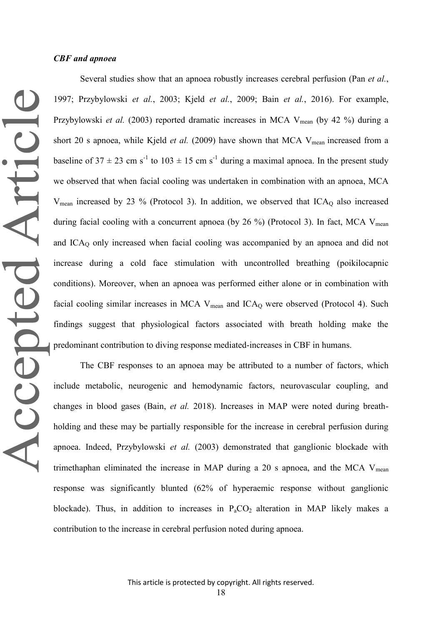## *CBF and apnoea*

Several studies show that an apnoea robustly increases cerebral perfusion (Pan *et al.*, 1997; Przybylowski *et al.*, 2003; Kjeld *et al.*, 2009; Bain *et al.*, 2016). For example, Przybylowski *et al.* (2003) reported dramatic increases in MCA V<sub>mean</sub> (by 42 %) during a short 20 s apnoea, while Kjeld *et al.* (2009) have shown that MCA  $V_{mean}$  increased from a baseline of  $37 \pm 23$  cm s<sup>-1</sup> to  $103 \pm 15$  cm s<sup>-1</sup> during a maximal apnoea. In the present study we observed that when facial cooling was undertaken in combination with an apnoea, MCA  $V_{\text{mean}}$  increased by 23 % (Protocol 3). In addition, we observed that ICA<sub>O</sub> also increased during facial cooling with a concurrent apnoea (by 26 %) (Protocol 3). In fact, MCA  $V_{mean}$ and  $ICA<sub>O</sub>$  only increased when facial cooling was accompanied by an apnoea and did not increase during a cold face stimulation with uncontrolled breathing (poikilocapnic conditions). Moreover, when an apnoea was performed either alone or in combination with facial cooling similar increases in MCA  $V_{mean}$  and ICA<sub>O</sub> were observed (Protocol 4). Such findings suggest that physiological factors associated with breath holding make the predominant contribution to diving response mediated-increases in CBF in humans.

The CBF responses to an apnoea may be attributed to a number of factors, which include metabolic, neurogenic and hemodynamic factors, neurovascular coupling, and changes in blood gases (Bain, *et al.* 2018). Increases in MAP were noted during breathholding and these may be partially responsible for the increase in cerebral perfusion during apnoea. Indeed, Przybylowski *et al.* (2003) demonstrated that ganglionic blockade with trimethaphan eliminated the increase in MAP during a 20 s apnoea, and the MCA  $V_{mean}$ response was significantly blunted (62% of hyperaemic response without ganglionic blockade). Thus, in addition to increases in  $P_aCO_2$  alteration in MAP likely makes a contribution to the increase in cerebral perfusion noted during apnoea.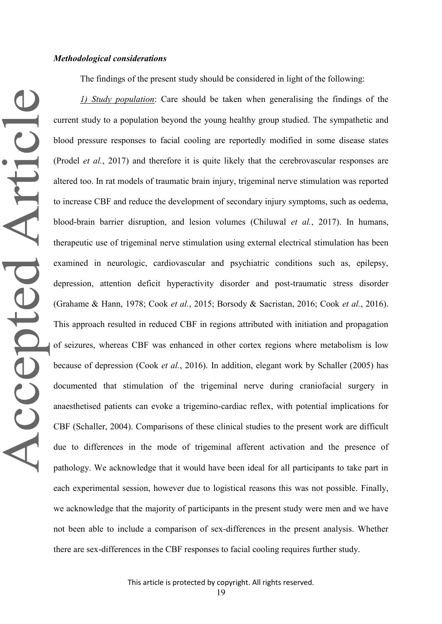Accepted Article

The findings of the present study should be considered in light of the following:

*1) Study population*: Care should be taken when generalising the findings of the current study to a population beyond the young healthy group studied. The sympathetic and blood pressure responses to facial cooling are reportedly modified in some disease states (Prodel *et al.*, 2017) and therefore it is quite likely that the cerebrovascular responses are altered too. In rat models of traumatic brain injury, trigeminal nerve stimulation was reported to increase CBF and reduce the development of secondary injury symptoms, such as oedema, blood-brain barrier disruption, and lesion volumes (Chiluwal *et al.*, 2017). In humans, therapeutic use of trigeminal nerve stimulation using external electrical stimulation has been examined in neurologic, cardiovascular and psychiatric conditions such as, epilepsy, depression, attention deficit hyperactivity disorder and post-traumatic stress disorder (Grahame & Hann, 1978; Cook *et al.*, 2015; Borsody & Sacristan, 2016; Cook *et al.*, 2016). This approach resulted in reduced CBF in regions attributed with initiation and propagation of seizures, whereas CBF was enhanced in other cortex regions where metabolism is low because of depression (Cook *et al.*, 2016). In addition, elegant work by Schaller (2005) has documented that stimulation of the trigeminal nerve during craniofacial surgery in anaesthetised patients can evoke a trigemino-cardiac reflex, with potential implications for CBF (Schaller, 2004). Comparisons of these clinical studies to the present work are difficult due to differences in the mode of trigeminal afferent activation and the presence of pathology. We acknowledge that it would have been ideal for all participants to take part in each experimental session, however due to logistical reasons this was not possible. Finally, we acknowledge that the majority of participants in the present study were men and we have not been able to include a comparison of sex-differences in the present analysis. Whether there are sex-differences in the CBF responses to facial cooling requires further study.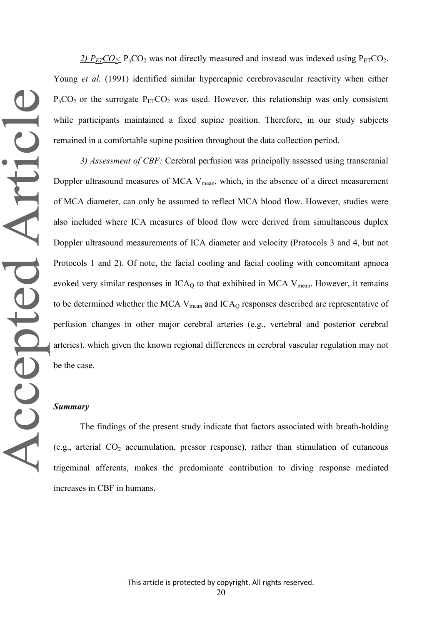2)  $P_{ET}CO_2$ :  $P_aCO_2$  was not directly measured and instead was indexed using  $P_{ET}CO_2$ . Young *et al.* (1991) identified similar hypercapnic cerebrovascular reactivity when either  $P_aCO_2$  or the surrogate  $P_{ET}CO_2$  was used. However, this relationship was only consistent while participants maintained a fixed supine position. Therefore, in our study subjects remained in a comfortable supine position throughout the data collection period.

*3) Assessment of CBF:* Cerebral perfusion was principally assessed using transcranial Doppler ultrasound measures of MCA  $V_{mean}$ , which, in the absence of a direct measurement of MCA diameter, can only be assumed to reflect MCA blood flow. However, studies were also included where ICA measures of blood flow were derived from simultaneous duplex Doppler ultrasound measurements of ICA diameter and velocity (Protocols 3 and 4, but not Protocols 1 and 2). Of note, the facial cooling and facial cooling with concomitant apnoea evoked very similar responses in  $ICA<sub>Q</sub>$  to that exhibited in MCA V<sub>mean</sub>. However, it remains to be determined whether the MCA V<sub>mean</sub> and ICA<sub>O</sub> responses described are representative of perfusion changes in other major cerebral arteries (e.g., vertebral and posterior cerebral arteries), which given the known regional differences in cerebral vascular regulation may not be the case.

#### *Summary*

The findings of the present study indicate that factors associated with breath-holding (e.g., arterial  $CO<sub>2</sub>$  accumulation, pressor response), rather than stimulation of cutaneous trigeminal afferents, makes the predominate contribution to diving response mediated increases in CBF in humans.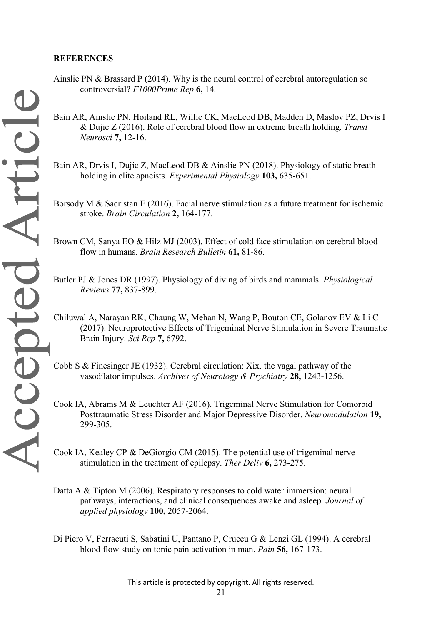# **REFERENCES**

- Ainslie PN & Brassard P (2014). Why is the neural control of cerebral autoregulation so controversial? *F1000Prime Rep* **6,** 14.
- Bain AR, Ainslie PN, Hoiland RL, Willie CK, MacLeod DB, Madden D, Maslov PZ, Drvis I & Dujic Z (2016). Role of cerebral blood flow in extreme breath holding. *Transl Neurosci* **7,** 12-16.
- Bain AR, Drvis I, Dujic Z, MacLeod DB & Ainslie PN (2018). Physiology of static breath holding in elite apneists. *Experimental Physiology* **103,** 635-651.
- Borsody M & Sacristan E (2016). Facial nerve stimulation as a future treatment for ischemic stroke. *Brain Circulation* **2,** 164-177.
- Brown CM, Sanya EO & Hilz MJ (2003). Effect of cold face stimulation on cerebral blood flow in humans. *Brain Research Bulletin* **61,** 81-86.
- Butler PJ & Jones DR (1997). Physiology of diving of birds and mammals. *Physiological Reviews* **77,** 837-899.
- Chiluwal A, Narayan RK, Chaung W, Mehan N, Wang P, Bouton CE, Golanov EV & Li C (2017). Neuroprotective Effects of Trigeminal Nerve Stimulation in Severe Traumatic Brain Injury. *Sci Rep* **7,** 6792.
- Cobb S & Finesinger JE (1932). Cerebral circulation: Xix. the vagal pathway of the vasodilator impulses. *Archives of Neurology & Psychiatry* **28,** 1243-1256.
- Cook IA, Abrams M & Leuchter AF (2016). Trigeminal Nerve Stimulation for Comorbid Posttraumatic Stress Disorder and Major Depressive Disorder. *Neuromodulation* **19,** 299-305.
- Cook IA, Kealey CP & DeGiorgio CM (2015). The potential use of trigeminal nerve stimulation in the treatment of epilepsy. *Ther Deliv* **6,** 273-275.
- Datta A & Tipton M (2006). Respiratory responses to cold water immersion: neural pathways, interactions, and clinical consequences awake and asleep. *Journal of applied physiology* **100,** 2057-2064.
- Di Piero V, Ferracuti S, Sabatini U, Pantano P, Cruccu G & Lenzi GL (1994). A cerebral blood flow study on tonic pain activation in man. *Pain* **56,** 167-173.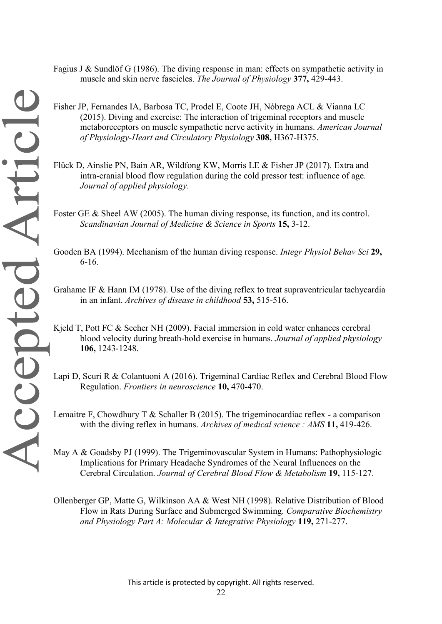- Fagius J & Sundlöf G (1986). The diving response in man: effects on sympathetic activity in muscle and skin nerve fascicles. *The Journal of Physiology* **377,** 429-443.
- Fisher JP, Fernandes IA, Barbosa TC, Prodel E, Coote JH, Nóbrega ACL & Vianna LC (2015). Diving and exercise: The interaction of trigeminal receptors and muscle metaboreceptors on muscle sympathetic nerve activity in humans. *American Journal of Physiology-Heart and Circulatory Physiology* **308,** H367-H375.
- Flück D, Ainslie PN, Bain AR, Wildfong KW, Morris LE & Fisher JP (2017). Extra and intra-cranial blood flow regulation during the cold pressor test: influence of age. *Journal of applied physiology*.
- Foster GE & Sheel AW (2005). The human diving response, its function, and its control. *Scandinavian Journal of Medicine & Science in Sports* **15,** 3-12.
- Gooden BA (1994). Mechanism of the human diving response. *Integr Physiol Behav Sci* **29,** 6-16.
- Grahame IF & Hann IM (1978). Use of the diving reflex to treat supraventricular tachycardia in an infant. *Archives of disease in childhood* **53,** 515-516.
- Kjeld T, Pott FC & Secher NH (2009). Facial immersion in cold water enhances cerebral blood velocity during breath-hold exercise in humans. *Journal of applied physiology* **106,** 1243-1248.
- Lapi D, Scuri R & Colantuoni A (2016). Trigeminal Cardiac Reflex and Cerebral Blood Flow Regulation. *Frontiers in neuroscience* **10,** 470-470.
- Lemaitre F, Chowdhury T & Schaller B (2015). The trigeminocardiac reflex a comparison with the diving reflex in humans. *Archives of medical science : AMS* **11,** 419-426.

May A & Goadsby PJ (1999). The Trigeminovascular System in Humans: Pathophysiologic Implications for Primary Headache Syndromes of the Neural Influences on the Cerebral Circulation. *Journal of Cerebral Blood Flow & Metabolism* **19,** 115-127.

Ollenberger GP, Matte G, Wilkinson AA & West NH (1998). Relative Distribution of Blood Flow in Rats During Surface and Submerged Swimming. *Comparative Biochemistry and Physiology Part A: Molecular & Integrative Physiology* **119,** 271-277.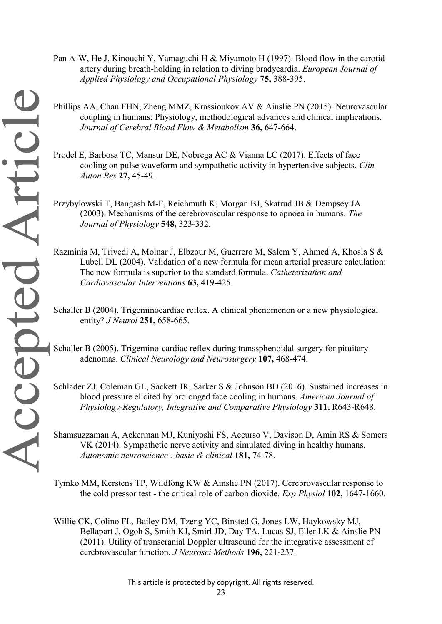- Pan A-W, He J, Kinouchi Y, Yamaguchi H & Miyamoto H (1997). Blood flow in the carotid artery during breath-holding in relation to diving bradycardia. *European Journal of Applied Physiology and Occupational Physiology* **75,** 388-395.
- coupling in humans: Physiology, methodological advances and clinical implications. *Journal of Cerebral Blood Flow & Metabolism* **36,** 647-664.
- Prodel E, Barbosa TC, Mansur DE, Nobrega AC & Vianna LC (2017). Effects of face cooling on pulse waveform and sympathetic activity in hypertensive subjects. *Clin Auton Res* **27,** 45-49.
- Przybylowski T, Bangash M-F, Reichmuth K, Morgan BJ, Skatrud JB & Dempsey JA (2003). Mechanisms of the cerebrovascular response to apnoea in humans. *The Journal of Physiology* **548,** 323-332.
- Razminia M, Trivedi A, Molnar J, Elbzour M, Guerrero M, Salem Y, Ahmed A, Khosla S & Lubell DL (2004). Validation of a new formula for mean arterial pressure calculation: The new formula is superior to the standard formula. *Catheterization and Cardiovascular Interventions* **63,** 419-425.
- Schaller B (2004). Trigeminocardiac reflex. A clinical phenomenon or a new physiological entity? *J Neurol* **251,** 658-665.
- Schaller B (2005). Trigemino-cardiac reflex during transsphenoidal surgery for pituitary adenomas. *Clinical Neurology and Neurosurgery* **107,** 468-474.
- Schlader ZJ, Coleman GL, Sackett JR, Sarker S & Johnson BD (2016). Sustained increases in blood pressure elicited by prolonged face cooling in humans. *American Journal of Physiology-Regulatory, Integrative and Comparative Physiology* **311,** R643-R648.

Shamsuzzaman A, Ackerman MJ, Kuniyoshi FS, Accurso V, Davison D, Amin RS & Somers VK (2014). Sympathetic nerve activity and simulated diving in healthy humans. *Autonomic neuroscience : basic & clinical* **181,** 74-78.

Tymko MM, Kerstens TP, Wildfong KW & Ainslie PN (2017). Cerebrovascular response to the cold pressor test - the critical role of carbon dioxide. *Exp Physiol* **102,** 1647-1660.

Willie CK, Colino FL, Bailey DM, Tzeng YC, Binsted G, Jones LW, Haykowsky MJ, Bellapart J, Ogoh S, Smith KJ, Smirl JD, Day TA, Lucas SJ, Eller LK & Ainslie PN (2011). Utility of transcranial Doppler ultrasound for the integrative assessment of cerebrovascular function. *J Neurosci Methods* **196,** 221-237.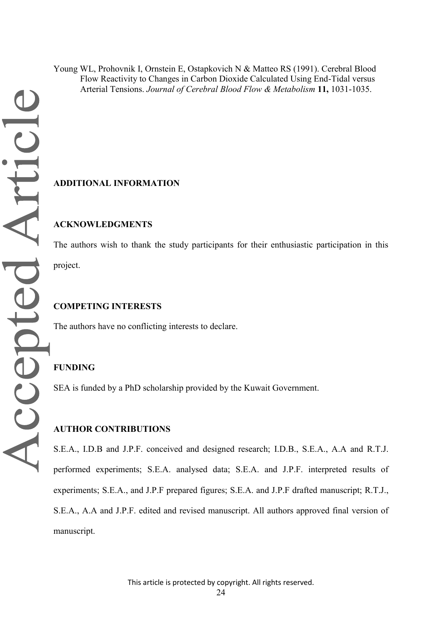Young WL, Prohovnik I, Ornstein E, Ostapkovich N & Matteo RS (1991). Cerebral Blood Flow Reactivity to Changes in Carbon Dioxide Calculated Using End-Tidal versus Arterial Tensions. *Journal of Cerebral Blood Flow & Metabolism* **11,** 1031-1035.

# **ADDITIONAL INFORMATION**

# **ACKNOWLEDGMENTS**

The authors wish to thank the study participants for their enthusiastic participation in this project.

## **COMPETING INTERESTS**

The authors have no conflicting interests to declare.

## **FUNDING**

SEA is funded by a PhD scholarship provided by the Kuwait Government.

## **AUTHOR CONTRIBUTIONS**

S.E.A., I.D.B and J.P.F. conceived and designed research; I.D.B., S.E.A., A.A and R.T.J. performed experiments; S.E.A. analysed data; S.E.A. and J.P.F. interpreted results of experiments; S.E.A., and J.P.F prepared figures; S.E.A. and J.P.F drafted manuscript; R.T.J., S.E.A., A.A and J.P.F. edited and revised manuscript. All authors approved final version of manuscript.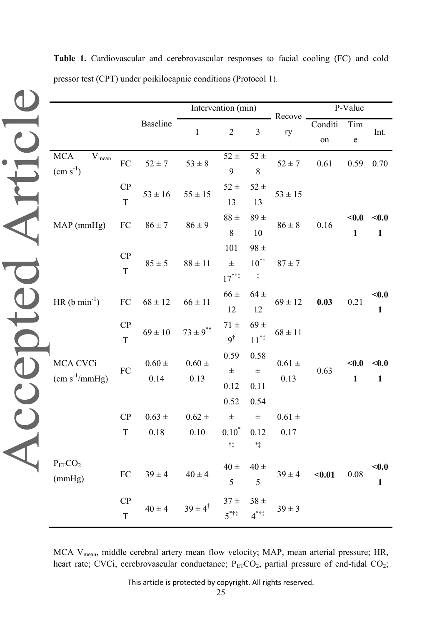|                                              |                               |                       | Intervention (min)              |                                       |                                                | Recove             | P-Value       |                       |                       |
|----------------------------------------------|-------------------------------|-----------------------|---------------------------------|---------------------------------------|------------------------------------------------|--------------------|---------------|-----------------------|-----------------------|
|                                              |                               | Baseline              | $\mathbf{1}$                    | $\overline{2}$                        | 3                                              | ry                 | Conditi<br>on | Tim<br>${\bf e}$      | Int.                  |
| $\rm MCA$<br>$\rm V_{mean}$<br>$(cm s-1)$    | ${\rm FC}$                    | $52\pm7$              | $53 \pm 8$                      | $52\,\pm$<br>9                        | $52\,\pm\,$<br>8                               | $52 \pm 7$         | 0.61          | 0.59                  | 0.70                  |
|                                              | CP<br>T                       | $53 \pm 16$           | $55 \pm 15$                     | $52 \pm$<br>13                        | $52\,\pm\,$<br>13                              | $53 \pm 15$        |               |                       |                       |
| MAP (mmHg)                                   | FC                            | $86 \pm 7$            | $86 \pm 9$                      | $88 \pm$<br>$\,8\,$                   | $89 +$<br>10                                   | $86\pm8$           | 0.16          | $0.0$<br>$\mathbf{1}$ | $0.0$<br>$\mathbf{1}$ |
|                                              | CP<br>$\mathbf T$             | $85 \pm 5$            | $88\pm11$                       | 101<br>$\pm$<br>$17^{***}$            | $98 \pm$<br>$10^{*}$<br>$\ddagger$             | $87 \pm 7$         |               |                       |                       |
| HR $(b \text{ min}^{-1})$                    | ${\rm FC}$                    | $68 \pm 12$           | $66 \pm 11$                     | $66 \pm$<br>12                        | $64 \pm$<br>12                                 | $69 \pm 12$        | 0.03          | 0.21                  | $0.0$<br>$\mathbf{1}$ |
|                                              | CP<br>T                       | $69\pm10$             | $73 \pm 9^{*+}$                 | $71 \pm$<br>$9^{\dagger}$             | $69 \pm$<br>$11^{\dagger\ddagger}$             | $68 \pm 11$        |               |                       |                       |
| MCA CVCi<br>$\text{(cm s}^{-1}\text{/mmHg)}$ | ${\rm FC}$                    | $0.60\,\pm\,$<br>0.14 | $0.60\,\pm\,$<br>0.13           | 0.59<br>$\pm$<br>0.12<br>0.52         | 0.58<br>$\pm$<br>0.11<br>0.54                  | $0.61 \pm$<br>0.13 | 0.63          | $0.0$<br>$\mathbf{1}$ | $0.0$<br>$\mathbf{1}$ |
|                                              | CP<br>$\mathbf T$             | $0.63 \pm$<br>0.18    | $0.62 \pm$<br>0.10              | $0.10^*$ 0.12<br>$^{\dagger\ddagger}$ | $\pm$ $\pm$<br>$\ast_{\ddagger}$               | $0.61 \pm$<br>0.17 |               |                       |                       |
| $P_{ET}CO2$<br>(mmHg)                        | ${\rm FC}$                    | $39 \pm 4$            | $40 \pm 4$                      | $40 \pm$<br>5                         | $40 \pm$<br>5                                  | $39 \pm 4$         | $0.01$        | 0.08                  | $0.0$<br>$\mathbf{1}$ |
|                                              | CP<br>$\overline{\mathrm{T}}$ |                       | $40 \pm 4$ $39 \pm 4^{\dagger}$ | $5^{*11}$                             | $37\pm\phantom{00}38\pm\phantom{00}$<br>$4***$ | $39 \pm 3$         |               |                       |                       |

**Table 1.** Cardiovascular and cerebrovascular responses to facial cooling (FC) and cold pressor test (CPT) under poikilocapnic conditions (Protocol 1).

MCA Vmean, middle cerebral artery mean flow velocity; MAP, mean arterial pressure; HR, heart rate; CVCi, cerebrovascular conductance;  $P_{ET}CO_2$ , partial pressure of end-tidal CO<sub>2</sub>;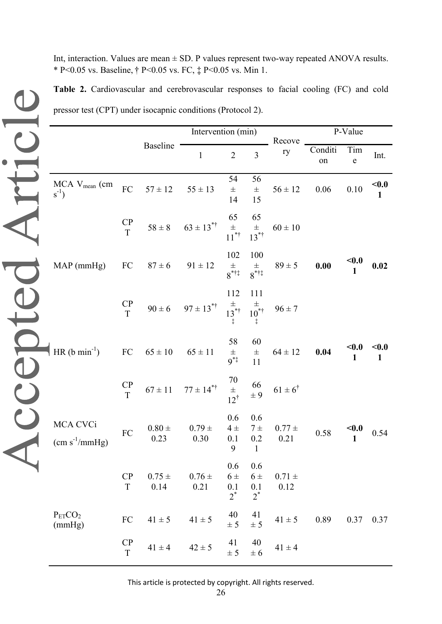Int, interaction. Values are mean  $\pm$  SD. P values represent two-way repeated ANOVA results. \* P<0.05 vs. Baseline, † P<0.05 vs. FC, ‡ P<0.05 vs. Min 1.

**Table 2.** Cardiovascular and cerebrovascular responses to facial cooling (FC) and cold pressor test (CPT) under isocapnic conditions (Protocol 2).

|                                              |                              | pressor test (CPT) under isocapnic conditions (Protocol 2).<br>Baseline<br>$57 \pm 12$<br>$87 \pm 6$ 91 $\pm$ 12<br>$65 \pm 10$<br>$0.80 \pm$<br>0.23 | Intervention (min)                                                                           |                                 |                                      | P-Value            |                     |                  |                       |
|----------------------------------------------|------------------------------|-------------------------------------------------------------------------------------------------------------------------------------------------------|----------------------------------------------------------------------------------------------|---------------------------------|--------------------------------------|--------------------|---------------------|------------------|-----------------------|
|                                              |                              |                                                                                                                                                       | $\mathbf{1}$                                                                                 | $\overline{2}$                  | 3                                    | Recove<br>ry       | Conditi<br>on       | Tim<br>${\bf e}$ | Int.                  |
| MCA V <sub>mean</sub> (cm<br>$s^{-1}$ )      | FC                           |                                                                                                                                                       | $55\pm13$                                                                                    | 54<br>$\pm$<br>14               | 56<br>$\pm$<br>15                    | $56 \pm 12$        | 0.06                | $0.10\,$         | $0.0$<br>$\mathbf{1}$ |
|                                              | $\frac{CP}{T}$               |                                                                                                                                                       | $58 \pm 8$ $63 \pm 13^{*}$                                                                   | 65<br>$\pm$<br>11 <sup>*†</sup> | 65<br>$\pm$<br>13 <sup>*†</sup>      | $60 \pm 10$        |                     |                  |                       |
| $MAP$ (mmHg)                                 | FC                           |                                                                                                                                                       |                                                                                              | 102<br>$rac{\pm}{8}$ * † ‡      | 100<br>$\overset{\pm}{8}$ ***        | $89 \pm 5$         | $\boldsymbol{0.00}$ | $0.0$            | 0.02                  |
|                                              | $\frac{CP}{T}$               |                                                                                                                                                       | $90 \pm 6$ $97 \pm 13^{* \dagger}$ $\frac{\pm}{13^{* \dagger}}$ $\frac{\pm}{10^{* \dagger}}$ | 112                             | 111                                  | $96 \pm 7$         |                     |                  |                       |
| HR $(b \text{ min}^{-1})$                    | ${\rm FC}$                   |                                                                                                                                                       | $65 \pm 11$                                                                                  | 58<br>$\frac{1}{9^{*}}$         | 60<br>$\pm$<br>11                    | $64 \pm 12$        | 0.04                | $<$ 0.0<br>1     | $0.0$<br>$\mathbf{1}$ |
|                                              | CP<br>$\overline{T}$         |                                                                                                                                                       | $67 \pm 11$ $77 \pm 14^{* \dagger}$                                                          | $70$<br>$\pm$<br>$12^{\dagger}$ | 66<br>$\pm 9$                        | $61\pm6^\dagger$   |                     |                  |                       |
| MCA CVCi<br>$\text{(cm s}^{-1}\text{/mmHg)}$ | FC                           |                                                                                                                                                       | $0.79 \pm$<br>0.30                                                                           | 0.6<br>$4\pm$<br>0.1<br>9       | 0.6<br>$7\pm$<br>0.2<br>$\mathbf{1}$ | $0.77 \pm$<br>0.21 | $0.58\,$            | < 0.0            | 0.54                  |
|                                              | CP<br>$\mathbf T$            | $0.75 \pm$<br>0.14                                                                                                                                    | $0.76\,\pm\,$<br>0.21                                                                        | 0.6<br>$6\pm$<br>0.1<br>$2^*$   | 0.6<br>$6\pm$<br>0.1<br>$2^*$        | $0.71 \pm$<br>0.12 |                     |                  |                       |
| $P_{ET}CO2$<br>(mmHg)                        | ${\rm FC}$                   | $41\pm5$                                                                                                                                              | $41\pm5$                                                                                     | 40<br>± 5                       | 41<br>± 5                            | $41\pm5$           | 0.89                | 0.37             | 0.37                  |
|                                              | $\frac{\text{CP}}{\text{T}}$ | $41\pm4$                                                                                                                                              | $42\pm5$                                                                                     | 41<br>± 5                       | 40<br>$\pm 6$                        | $41 \pm 4$         |                     |                  |                       |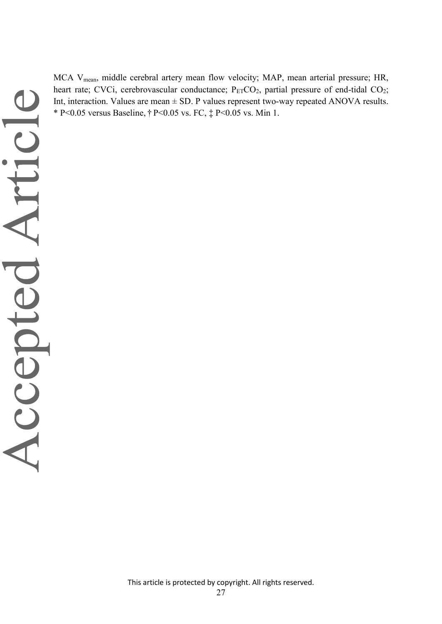MCA V<sub>mean</sub>, middle cerebral artery mean flow velocity; MAP, mean arterial pressure; HR, heart rate; CVCi, cerebrovascular conductance;  $P_{ET}CO_2$ , partial pressure of end-tidal  $CO_2$ ; Int, interaction. Values are mean  $\pm$  SD. P values represent two-way repeated ANOVA results. \* P<0.05 versus Baseline, † P<0.05 vs. FC, ‡ P<0.05 vs. Min 1.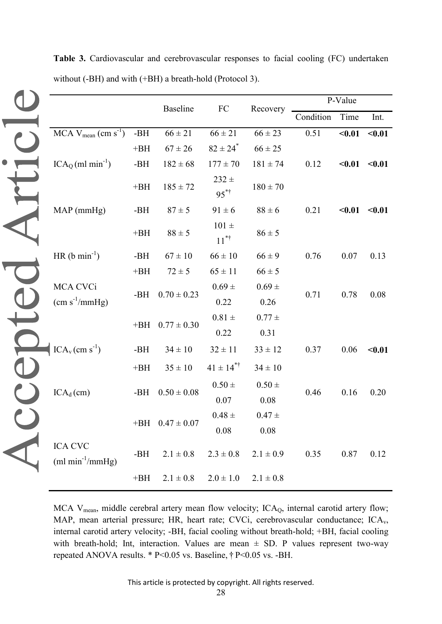|                                                  |       | <b>Baseline</b>       | FC                              | Recovery      | P-Value   |                   |                   |  |  |
|--------------------------------------------------|-------|-----------------------|---------------------------------|---------------|-----------|-------------------|-------------------|--|--|
|                                                  |       |                       |                                 |               | Condition | Time              | Int.              |  |  |
| $MCA$ V <sub>mean</sub> (cm s <sup>-1</sup> )    | -BH   | $66 \pm 21$           | $66 \pm 21$                     | $66 \pm 23$   | 0.51      | $0.01$            | $0.01$            |  |  |
|                                                  | $+BH$ | $67 \pm 26$           | $82 \pm 24$ <sup>*</sup>        | $66 \pm 25$   |           |                   |                   |  |  |
| $ICAQ(ml min-1)$                                 | $-BH$ | $182 \pm 68$          | $177 \pm 70$                    | $181 \pm 74$  | 0.12      | $< 0.01$ $< 0.01$ |                   |  |  |
|                                                  | $+BH$ | $185\pm72$            | $232 +$<br>$95^{*+}$            | $180 \pm 70$  |           |                   |                   |  |  |
| MAP (mmHg)                                       | -BH   | $87 \pm 5$            | $91 \pm 6$                      | $88 \pm 6$    | 0.21      |                   | $< 0.01$ $< 0.01$ |  |  |
|                                                  | $+BH$ | $88 \pm 5$            | $101 \pm$<br>$11^{*^{\dagger}}$ | $86 \pm 5$    |           |                   |                   |  |  |
| HR $(b \text{ min}^{-1})$                        | -BH   | $67 \pm 10$           | $66\pm10$                       | $66 \pm 9$    | 0.76      | 0.07              | 0.13              |  |  |
|                                                  | $+BH$ | $72 \pm 5$            | $65 \pm 11$                     | $66 \pm 5$    |           |                   |                   |  |  |
| MCA CVCi                                         |       |                       | $0.69 \pm$                      | $0.69 \pm$    |           |                   |                   |  |  |
| $\text{(cm s}^{-1}\text{/mmHg)}$                 | -BH   | $0.70 \pm 0.23$       | 0.22                            | 0.26          | 0.71      | 0.78              | 0.08              |  |  |
|                                                  |       | $+BH$ 0.77 $\pm$ 0.30 | $0.81 \pm$                      | $0.77 \pm$    |           |                   |                   |  |  |
|                                                  |       |                       | 0.22                            | 0.31          |           |                   |                   |  |  |
| $\text{ICA}_\text{v}\,(\text{cm s}^{\text{-1}})$ | $-BH$ | $34 \pm 10$           | $32 \pm 11$                     | $33 \pm 12$   | 0.37      | 0.06              | $0.01$            |  |  |
|                                                  | $+BH$ | $35 \pm 10$           | $41 \pm 14$ <sup>*†</sup>       | $34 \pm 10$   |           |                   |                   |  |  |
|                                                  |       |                       | $0.50 \pm$                      | $0.50 \pm$    |           |                   |                   |  |  |
| $ICA_d$ (cm)                                     | -BH   | $0.50 \pm 0.08$       | 0.07                            | 0.08          | 0.46      | 0.16              | 0.20              |  |  |
|                                                  |       |                       | $0.48 \pm$                      | $0.47 \pm$    |           |                   |                   |  |  |
|                                                  |       | $+BH$ 0.47 $\pm$ 0.07 | $0.08\,$                        | 0.08          |           |                   |                   |  |  |
| <b>ICA CVC</b><br>$(ml min^{-1}/mmHg)$           | $-BH$ | $2.1\pm0.8$           | $2.3 \pm 0.8$                   | $2.1 \pm 0.9$ | 0.35      | 0.87              | 0.12              |  |  |
|                                                  | $+BH$ | $2.1 \pm 0.8$         | $2.0 \pm 1.0$                   | $2.1 \pm 0.8$ |           |                   |                   |  |  |

**Table 3.** Cardiovascular and cerebrovascular responses to facial cooling (FC) undertaken without (-BH) and with (+BH) a breath-hold (Protocol 3).

MCA  $V_{mean}$ , middle cerebral artery mean flow velocity; ICA<sub>Q</sub>, internal carotid artery flow; MAP, mean arterial pressure; HR, heart rate; CVCi, cerebrovascular conductance; ICA<sub>v</sub>, internal carotid artery velocity; -BH, facial cooling without breath-hold; +BH, facial cooling with breath-hold; Int, interaction. Values are mean  $\pm$  SD. P values represent two-way repeated ANOVA results. \* P<0.05 vs. Baseline, † P<0.05 vs. -BH.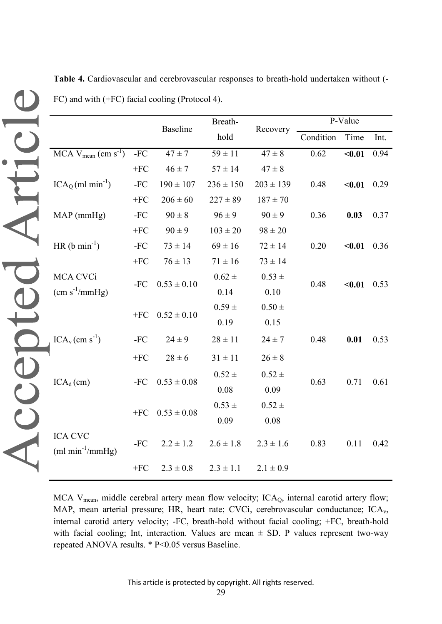|                                               | <b>Baseline</b> |                 | Breath-       | Recovery      | P-Value   |        |  |
|-----------------------------------------------|-----------------|-----------------|---------------|---------------|-----------|--------|--|
|                                               |                 |                 | hold          |               | Condition | Time   |  |
| $MCA$ V <sub>mean</sub> (cm s <sup>-1</sup> ) | $-FC$           | $47 \pm 7$      | $59 \pm 11$   | $47\pm8$      | 0.62      | $0.01$ |  |
|                                               | $+FC$           | $46 \pm 7$      | $57 \pm 14$   | $47 \pm 8$    |           |        |  |
| $ICA0(ml min-1)$                              | $-FC$           | $190 \pm 107$   | $236 \pm 150$ | $203 \pm 139$ | 0.48      | $0.01$ |  |
|                                               | $+FC$           | $206 \pm 60$    | $227 \pm 89$  | $187 \pm 70$  |           |        |  |
| $MAP$ (mmHg)                                  | -FC             | $90 \pm 8$      | $96 \pm 9$    | $90 \pm 9$    | 0.36      | 0.03   |  |
|                                               | $+FC$           | $90 \pm 9$      | $103 \pm 20$  | $98 \pm 20$   |           |        |  |
| $HR (b min-1)$                                | $-FC$           | $73 \pm 14$     | $69 \pm 16$   | $72 \pm 14$   | 0.20      | $0.01$ |  |
|                                               | $+FC$           | $76 \pm 13$     | $71 \pm 16$   | $73 \pm 14$   |           |        |  |
| MCA CVCi                                      | $-FC$           | $0.53 \pm 0.10$ | $0.62 \pm$    | $0.53 \pm$    | 0.48      | $0.01$ |  |
| $\text{(cm s}^{-1}\text{/mmHg)}$              |                 |                 | 0.14          | 0.10          |           |        |  |
|                                               | $+FC$           | $0.52 \pm 0.10$ | $0.59 \pm$    | $0.50 \pm$    |           |        |  |
|                                               |                 |                 | 0.19          | 0.15          |           |        |  |
| $ICA_v$ (cm s <sup>-1</sup> )                 | $-FC$           | $24 \pm 9$      | $28 \pm 11$   | $24 \pm 7$    | 0.48      | 0.01   |  |
|                                               | $+FC$           | $28 \pm 6$      | $31 \pm 11$   | $26 \pm 8$    |           |        |  |
|                                               |                 |                 | $0.52 \pm$    | $0.52 \pm$    |           |        |  |
| $ICA_d$ (cm)                                  | $-FC$           | $0.53 \pm 0.08$ | 0.08          | 0.09          | 0.63      | 0.71   |  |
|                                               |                 | $0.53 \pm 0.08$ | $0.53 \pm$    | $0.52 \pm$    |           |        |  |
|                                               | $+FC$           |                 | 0.09          | 0.08          |           |        |  |
| <b>ICA CVC</b><br>$(ml min^{-1}/mmHg)$        | $-FC$           | $2.2 \pm 1.2$   | $2.6 \pm 1.8$ | $2.3 \pm 1.6$ | 0.83      | 0.11   |  |
|                                               | $+FC$           | $2.3 \pm 0.8$   | $2.3 \pm 1.1$ | $2.1 \pm 0.9$ |           |        |  |

**Table 4.** Cardiovascular and cerebrovascular responses to breath-hold undertaken without (- FC) and with (+FC) facial cooling (Protocol 4).

MCA  $V_{mean}$ , middle cerebral artery mean flow velocity; ICA<sub>O</sub>, internal carotid artery flow; MAP, mean arterial pressure; HR, heart rate; CVCi, cerebrovascular conductance; ICA<sub>v</sub>, internal carotid artery velocity; -FC, breath-hold without facial cooling; +FC, breath-hold with facial cooling; Int, interaction. Values are mean  $\pm$  SD. P values represent two-way repeated ANOVA results. \* P<0.05 versus Baseline.